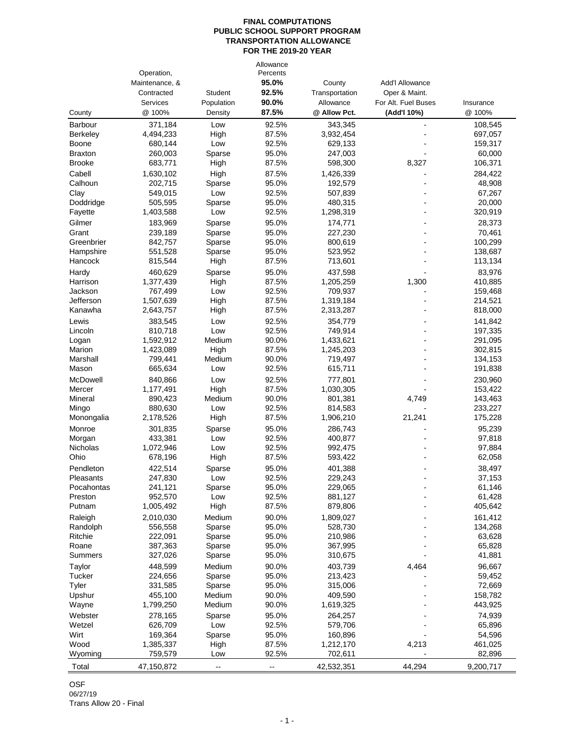|                                | Operation,         |                  | Allowance<br>Percents |                    |                        |                   |
|--------------------------------|--------------------|------------------|-----------------------|--------------------|------------------------|-------------------|
|                                | Maintenance, &     |                  | 95.0%                 | County             | <b>Add'I Allowance</b> |                   |
|                                | Contracted         | <b>Student</b>   | 92.5%                 | Transportation     | Oper & Maint.          |                   |
|                                | Services           | Population       | 90.0%                 | Allowance          | For Alt. Fuel Buses    | Insurance         |
| County                         | @ 100%             | Density          | 87.5%                 | @ Allow Pct.       | (Add'l 10%)            | @ 100%            |
| <b>Barbour</b>                 | 371,184            | Low              | 92.5%                 | 343,345            |                        | 108,545           |
| <b>Berkeley</b>                | 4,494,233          | High             | 87.5%                 | 3,932,454          |                        | 697,057           |
| <b>Boone</b>                   | 680,144            | Low              | 92.5%                 | 629,133            |                        | 159,317           |
| <b>Braxton</b>                 | 260,003            | Sparse           | 95.0%                 | 247,003            |                        | 60,000            |
| <b>Brooke</b>                  | 683,771            | High             | 87.5%                 | 598,300            | 8,327                  | 106,371           |
| Cabell                         | 1,630,102          | High             | 87.5%                 | 1,426,339          |                        | 284,422           |
| Calhoun                        | 202,715            | Sparse           | 95.0%                 | 192,579            |                        | 48,908            |
| Clay                           | 549,015            | Low              | 92.5%                 | 507,839            |                        | 67,267            |
| Doddridge                      | 505,595            | Sparse           | 95.0%                 | 480,315            |                        | 20,000            |
| Fayette                        | 1,403,588          | Low              | 92.5%                 | 1,298,319          |                        | 320,919           |
| Gilmer                         | 183,969            | Sparse           | 95.0%                 | 174,771            |                        | 28,373            |
| Grant                          | 239,189            | Sparse           | 95.0%                 | 227,230            |                        | 70,461            |
| Greenbrier                     | 842,757            | Sparse           | 95.0%                 | 800,619            |                        | 100,299           |
| Hampshire                      | 551,528            | Sparse           | 95.0%                 | 523,952            |                        | 138,687           |
| Hancock                        | 815,544            | High             | 87.5%                 | 713,601            |                        | 113,134           |
| Hardy                          | 460,629            | Sparse           | 95.0%                 | 437,598            |                        | 83,976            |
| Harrison                       | 1,377,439          | High             | 87.5%                 | 1,205,259          | 1,300                  | 410,885           |
| Jackson                        | 767,499            | Low              | 92.5%                 | 709,937            |                        | 159,468           |
| Jefferson                      | 1,507,639          | High             | 87.5%                 | 1,319,184          |                        | 214,521           |
| Kanawha                        | 2,643,757          | High             | 87.5%                 | 2,313,287          |                        | 818,000           |
| Lewis                          | 383,545            | Low              | 92.5%                 | 354,779            |                        | 141,842           |
| Lincoln                        | 810,718            | Low              | 92.5%                 | 749,914            |                        | 197,335           |
| Logan                          | 1,592,912          | Medium           | 90.0%                 | 1,433,621          |                        | 291,095           |
| Marion                         | 1,423,089          | High             | 87.5%                 | 1,245,203          |                        | 302,815           |
| Marshall                       | 799,441            | Medium           | 90.0%                 | 719,497            |                        | 134,153           |
| Mason                          | 665,634            | Low              | 92.5%                 | 615,711            |                        | 191,838           |
| <b>McDowell</b>                | 840,866            | Low              | 92.5%                 | 777,801            |                        | 230,960           |
| Mercer                         | 1,177,491          | High             | 87.5%                 | 1,030,305          |                        | 153,422           |
| <b>Mineral</b>                 | 890,423            | Medium           | 90.0%                 | 801,381            | 4,749                  | 143,463           |
| Mingo                          | 880,630            | Low              | 92.5%                 | 814,583            |                        | 233,227           |
| Monongalia                     | 2,178,526          | High             | 87.5%                 | 1,906,210          | 21,241                 | 175,228           |
| Monroe                         | 301,835            | Sparse           | 95.0%                 | 286,743            |                        | 95,239            |
| Morgan                         | 433,381            | Low              | 92.5%                 | 400,877            |                        | 97,818            |
| <b>Nicholas</b>                | 1,072,946          | Low              | 92.5%                 | 992,475            |                        | 97,884            |
| Ohio                           | 678,196            | High             | 87.5%                 | 593,422            |                        | 62,058            |
| Pendleton                      | 422,514            | Sparse           | 95.0%                 | 401,388            |                        | 38,497            |
| <b>Pleasants</b>               | 247,830            | Low              | 92.5%                 | 229,243            |                        | 37,153            |
| Pocahontas                     | 241,121<br>952,570 | Sparse           | 95.0%                 | 229,065            |                        | 61,146            |
| Preston<br>Putnam              | 1,005,492          | Low<br>High      | 92.5%<br>87.5%        | 881,127<br>879,806 |                        | 61,428<br>405,642 |
|                                |                    |                  |                       |                    |                        |                   |
| Raleigh                        | 2,010,030          | Medium           | 90.0%<br>95.0%        | 1,809,027          |                        | 161,412           |
| Randolph<br>Ritchie            | 556,558<br>222,091 | Sparse<br>Sparse | 95.0%                 | 528,730<br>210,986 |                        | 134,268<br>63,628 |
| Roane                          | 387,363            | Sparse           | 95.0%                 | 367,995            |                        | 65,828            |
| <b>Summers</b>                 | 327,026            | Sparse           | 95.0%                 | 310,675            |                        | 41,881            |
|                                | 448,599            | Medium           | 90.0%                 | 403,739            | 4,464                  | 96,667            |
| <b>Taylor</b><br><b>Tucker</b> | 224,656            | Sparse           | 95.0%                 | 213,423            |                        | 59,452            |
| <b>Tyler</b>                   | 331,585            | Sparse           | 95.0%                 | 315,006            |                        | 72,669            |
| Upshur                         | 455,100            | Medium           | 90.0%                 | 409,590            |                        | 158,782           |
| Wayne                          | 1,799,250          | Medium           | 90.0%                 | 1,619,325          |                        | 443,925           |
| Webster                        | 278,165            | Sparse           | 95.0%                 | 264,257            |                        | 74,939            |
| Wetzel                         | 626,709            | Low              | 92.5%                 | 579,706            |                        | 65,896            |
| Wirt                           | 169,364            | Sparse           | 95.0%                 | 160,896            |                        | 54,596            |
| Wood                           | 1,385,337          | High             | 87.5%                 | 1,212,170          | 4,213                  | 461,025           |
| Wyoming                        | 759,579            | Low              | 92.5%                 | 702,611            |                        | 82,896            |
| Total                          | 47,150,872         | --               |                       | 42,532,351         | 44,294                 | 9,200,717         |
|                                |                    |                  | --                    |                    |                        |                   |

OSF

# 06/27/19

Trans Allow 20 - Final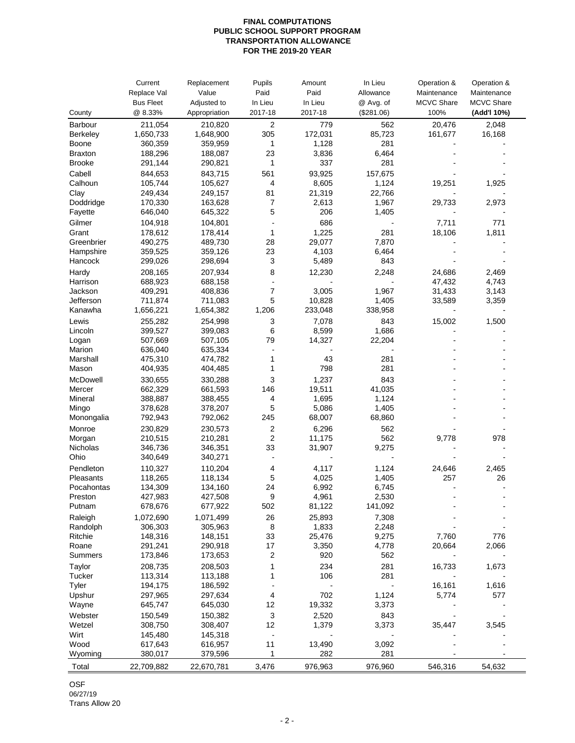OSF

06/27/19

Trans Allow 20

|                    | Current<br>Replace Val<br><b>Bus Fleet</b> | Replacement<br>Value<br>Adjusted to | <b>Pupils</b><br>Paid<br>In Lieu | Amount<br>Paid<br>In Lieu | In Lieu<br>Allowance<br>@ Avg. of | Operation &<br>Maintenance<br><b>MCVC Share</b> | Operation &<br>Maintenance<br><b>MCVC Share</b> |
|--------------------|--------------------------------------------|-------------------------------------|----------------------------------|---------------------------|-----------------------------------|-------------------------------------------------|-------------------------------------------------|
| County             | @ 8.33%                                    | Appropriation                       | 2017-18                          | 2017-18                   | (\$281.06)                        | 100%                                            | (Add'l 10%)                                     |
| <b>Barbour</b>     | 211,054                                    | 210,820                             | $\overline{2}$                   | 779                       | 562                               | 20,476                                          | 2,048                                           |
| <b>Berkeley</b>    | 1,650,733                                  | 1,648,900                           | 305                              | 172,031                   | 85,723                            | 161,677                                         | 16,168                                          |
| <b>Boone</b>       | 360,359                                    | 359,959                             |                                  | 1,128                     | 281                               |                                                 |                                                 |
| <b>Braxton</b>     | 188,296                                    | 188,087                             | 23                               | 3,836                     | 6,464                             |                                                 |                                                 |
| <b>Brooke</b>      | 291,144                                    | 290,821                             |                                  | 337                       | 281                               |                                                 |                                                 |
| Cabell             | 844,653                                    | 843,715                             | 561                              | 93,925                    | 157,675                           |                                                 |                                                 |
| Calhoun            | 105,744                                    | 105,627                             | 4                                | 8,605                     | 1,124                             | 19,251                                          | 1,925                                           |
| Clay<br>Doddridge  | 249,434<br>170,330                         | 249,157<br>163,628                  | 81<br>7                          | 21,319<br>2,613           | 22,766<br>1,967                   | 29,733                                          | 2,973                                           |
| Fayette            | 646,040                                    | 645,322                             | 5                                | 206                       | 1,405                             |                                                 |                                                 |
| Gilmer             | 104,918                                    | 104,801                             |                                  | 686                       |                                   | 7,711                                           | 771                                             |
| Grant              | 178,612                                    | 178,414                             |                                  | 1,225                     | 281                               | 18,106                                          | 1,811                                           |
| Greenbrier         | 490,275                                    | 489,730                             | 28                               | 29,077                    | 7,870                             |                                                 |                                                 |
| Hampshire          | 359,525                                    | 359,126                             | 23                               | 4,103                     | 6,464                             |                                                 |                                                 |
| Hancock            | 299,026                                    | 298,694                             | 3                                | 5,489                     | 843                               |                                                 |                                                 |
| Hardy              | 208,165                                    | 207,934                             | 8                                | 12,230                    | 2,248                             | 24,686                                          | 2,469                                           |
| Harrison           | 688,923                                    | 688,158                             |                                  |                           |                                   | 47,432                                          | 4,743                                           |
| Jackson            | 409,291                                    | 408,836                             |                                  | 3,005                     | 1,967                             | 31,433                                          | 3,143                                           |
| Jefferson          | 711,874                                    | 711,083                             | 5                                | 10,828                    | 1,405                             | 33,589                                          | 3,359                                           |
| Kanawha            | 1,656,221                                  | 1,654,382                           | 1,206                            | 233,048                   | 338,958                           |                                                 |                                                 |
| Lewis              | 255,282                                    | 254,998                             | 3                                | 7,078                     | 843                               | 15,002                                          | 1,500                                           |
| Lincoln            | 399,527                                    | 399,083                             | 6                                | 8,599                     | 1,686                             |                                                 |                                                 |
| Logan              | 507,669                                    | 507,105                             | 79                               | 14,327                    | 22,204                            |                                                 |                                                 |
| Marion             | 636,040                                    | 635,334                             |                                  |                           |                                   |                                                 |                                                 |
| Marshall           | 475,310                                    | 474,782                             |                                  | 43                        | 281                               |                                                 |                                                 |
| Mason              | 404,935                                    | 404,485                             |                                  | 798                       | 281                               |                                                 |                                                 |
| McDowell           | 330,655                                    | 330,288                             | 3                                | 1,237                     | 843                               |                                                 |                                                 |
| Mercer             | 662,329                                    | 661,593                             | 146                              | 19,511                    | 41,035                            |                                                 |                                                 |
| <b>Mineral</b>     | 388,887                                    | 388,455                             | 4                                | 1,695                     | 1,124                             |                                                 |                                                 |
| Mingo              | 378,628                                    | 378,207<br>792,062                  | 5                                | 5,086                     | 1,405                             |                                                 |                                                 |
| Monongalia         | 792,943                                    |                                     | 245                              | 68,007                    | 68,860                            |                                                 |                                                 |
| Monroe             | 230,829                                    | 230,573                             | $\overline{2}$<br>$\overline{2}$ | 6,296                     | 562<br>562                        |                                                 |                                                 |
| Morgan<br>Nicholas | 210,515<br>346,736                         | 210,281<br>346,351                  | 33                               | 11,175<br>31,907          | 9,275                             | 9,778                                           | 978                                             |
| Ohio               | 340,649                                    | 340,271                             |                                  |                           |                                   |                                                 |                                                 |
| Pendleton          | 110,327                                    | 110,204                             |                                  | 4,117                     | 1,124                             | 24,646                                          | 2,465                                           |
| Pleasants          | 118,265                                    | 118,134                             | 4<br>5                           | 4,025                     | 1,405                             | 257                                             | 26                                              |
| Pocahontas         | 134,309                                    | 134,160                             | 24                               | 6,992                     | 6,745                             |                                                 |                                                 |
| Preston            | 427,983                                    | 427,508                             | 9                                | 4,961                     | 2,530                             |                                                 |                                                 |
| Putnam             | 678,676                                    | 677,922                             | 502                              | 81,122                    | 141,092                           |                                                 |                                                 |
| Raleigh            | 1,072,690                                  | 1,071,499                           | 26                               | 25,893                    | 7,308                             |                                                 |                                                 |
| Randolph           | 306,303                                    | 305,963                             | 8                                | 1,833                     | 2,248                             |                                                 |                                                 |
| Ritchie            | 148,316                                    | 148,151                             | 33                               | 25,476                    | 9,275                             | 7,760                                           | 776                                             |
| Roane              | 291,241                                    | 290,918                             | 17                               | 3,350                     | 4,778                             | 20,664                                          | 2,066                                           |
| <b>Summers</b>     | 173,846                                    | 173,653                             | $\overline{2}$                   | 920                       | 562                               |                                                 |                                                 |
| <b>Taylor</b>      | 208,735                                    | 208,503                             |                                  | 234                       | 281                               | 16,733                                          | 1,673                                           |
| <b>Tucker</b>      | 113,314                                    | 113,188                             |                                  | 106                       | 281                               |                                                 |                                                 |
| <b>Tyler</b>       | 194,175                                    | 186,592                             |                                  |                           |                                   | 16,161                                          | 1,616                                           |
| Upshur             | 297,965                                    | 297,634                             | 4                                | 702                       | 1,124                             | 5,774                                           | 577                                             |
| Wayne              | 645,747                                    | 645,030                             | 12                               | 19,332                    | 3,373                             |                                                 |                                                 |
| Webster            | 150,549                                    | 150,382                             | 3                                | 2,520                     | 843                               |                                                 |                                                 |
| Wetzel             | 308,750                                    | 308,407                             | 12                               | 1,379                     | 3,373                             | 35,447                                          | 3,545                                           |
| Wirt               | 145,480                                    | 145,318                             |                                  |                           |                                   |                                                 |                                                 |
| Wood               | 617,643                                    | 616,957                             | 11                               | 13,490                    | 3,092                             |                                                 |                                                 |
| Wyoming            | 380,017                                    | 379,596                             |                                  | 282                       | 281                               |                                                 |                                                 |
| Total              | 22,709,882                                 | 22,670,781                          | 3,476                            | 976,963                   | 976,960                           | 546,316                                         | 54,632                                          |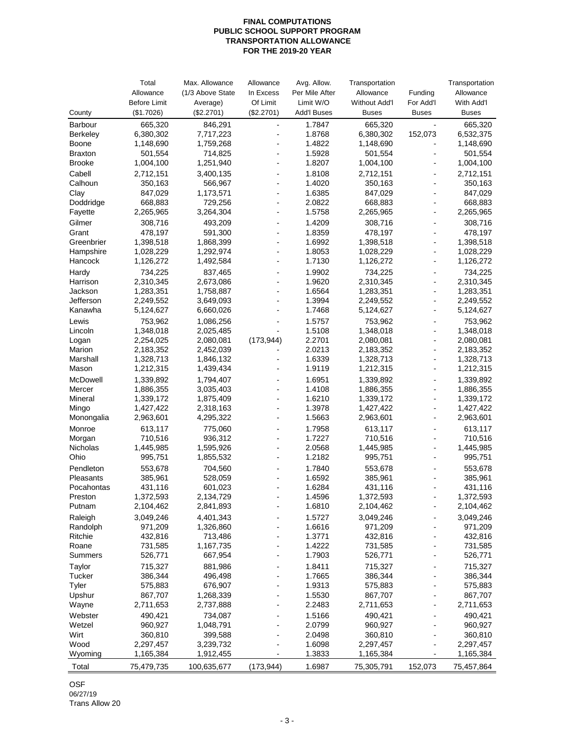OSF

06/27/19

Trans Allow 20

|                  | Total<br>Allowance                | Max. Allowance<br>(1/3 Above State | Allowance<br>In Excess | Avg. Allow.<br>Per Mile After   | Transportation<br>Allowance          | Funding                   | Transportation<br>Allowance |
|------------------|-----------------------------------|------------------------------------|------------------------|---------------------------------|--------------------------------------|---------------------------|-----------------------------|
| County           | <b>Before Limit</b><br>(\$1.7026) | Average)<br>(\$2.2701)             | Of Limit<br>(\$2.2701) | Limit W/O<br><b>Add'l Buses</b> | <b>Without Add'l</b><br><b>Buses</b> | For Add'l<br><b>Buses</b> | With Add'l<br><b>Buses</b>  |
| <b>Barbour</b>   | 665,320                           | 846,291                            |                        | 1.7847                          | 665,320                              |                           | 665,320                     |
| <b>Berkeley</b>  | 6,380,302                         | 7,717,223                          |                        | 1.8768                          | 6,380,302                            | 152,073                   | 6,532,375                   |
| <b>Boone</b>     | 1,148,690                         | 1,759,268                          |                        | 1.4822                          | 1,148,690                            |                           | 1,148,690                   |
| <b>Braxton</b>   | 501,554                           | 714,825                            |                        | 1.5928                          | 501,554                              |                           | 501,554                     |
| <b>Brooke</b>    | 1,004,100                         | 1,251,940                          |                        | 1.8207                          | 1,004,100                            |                           | 1,004,100                   |
| Cabell           | 2,712,151                         | 3,400,135                          |                        | 1.8108                          | 2,712,151                            |                           | 2,712,151                   |
| Calhoun          | 350,163                           | 566,967                            |                        | 1.4020                          | 350,163                              |                           | 350,163                     |
| Clay             | 847,029                           | 1,173,571                          |                        | 1.6385                          | 847,029                              |                           | 847,029                     |
| Doddridge        | 668,883                           | 729,256                            |                        | 2.0822                          | 668,883                              |                           | 668,883                     |
| Fayette          | 2,265,965                         | 3,264,304                          |                        | 1.5758                          | 2,265,965                            |                           | 2,265,965                   |
| Gilmer           | 308,716                           | 493,209                            |                        | 1.4209                          | 308,716                              |                           | 308,716                     |
| Grant            | 478,197                           | 591,300                            |                        | 1.8359                          | 478,197                              |                           | 478,197                     |
| Greenbrier       | 1,398,518                         | 1,868,399                          |                        | 1.6992                          | 1,398,518                            |                           | 1,398,518                   |
| Hampshire        | 1,028,229                         | 1,292,974                          |                        | 1.8053                          | 1,028,229                            |                           | 1,028,229                   |
| Hancock          | 1,126,272                         | 1,492,584                          |                        | 1.7130                          | 1,126,272                            |                           | 1,126,272                   |
| Hardy            | 734,225                           | 837,465                            |                        | 1.9902                          | 734,225                              |                           | 734,225                     |
| Harrison         | 2,310,345                         | 2,673,086                          |                        | 1.9620                          | 2,310,345                            |                           | 2,310,345                   |
| Jackson          | 1,283,351                         | 1,758,887                          |                        | 1.6564                          | 1,283,351                            |                           | 1,283,351                   |
| Jefferson        | 2,249,552                         | 3,649,093                          |                        | 1.3994                          | 2,249,552                            |                           | 2,249,552                   |
| Kanawha          | 5,124,627                         | 6,660,026                          |                        | 1.7468                          | 5,124,627                            |                           | 5,124,627                   |
| Lewis            | 753,962                           | 1,086,256                          |                        | 1.5757                          | 753,962                              |                           | 753,962                     |
| Lincoln          | 1,348,018                         | 2,025,485                          |                        | 1.5108                          | 1,348,018                            |                           | 1,348,018                   |
| Logan            | 2,254,025                         | 2,080,081                          | (173, 944)             | 2.2701                          | 2,080,081                            |                           | 2,080,081                   |
| <b>Marion</b>    | 2,183,352                         | 2,452,039                          |                        | 2.0213                          | 2,183,352                            |                           | 2,183,352                   |
| Marshall         | 1,328,713                         | 1,846,132                          |                        | 1.6339                          | 1,328,713                            |                           | 1,328,713                   |
| Mason            | 1,212,315                         | 1,439,434                          |                        | 1.9119                          | 1,212,315                            |                           | 1,212,315                   |
| <b>McDowell</b>  | 1,339,892                         | 1,794,407                          |                        | 1.6951                          | 1,339,892                            |                           | 1,339,892                   |
| Mercer           | 1,886,355                         | 3,035,403                          |                        | 1.4108                          | 1,886,355                            |                           | 1,886,355                   |
| <b>Mineral</b>   | 1,339,172                         | 1,875,409                          |                        | 1.6210                          | 1,339,172                            |                           | 1,339,172                   |
| Mingo            | 1,427,422                         | 2,318,163                          |                        | 1.3978                          | 1,427,422                            |                           | 1,427,422                   |
| Monongalia       | 2,963,601                         | 4,295,322                          |                        | 1.5663                          | 2,963,601                            |                           | 2,963,601                   |
| Monroe           | 613,117                           | 775,060                            |                        | 1.7958                          | 613,117                              |                           | 613,117                     |
| Morgan           | 710,516                           | 936,312                            |                        | 1.7227                          | 710,516                              |                           | 710,516                     |
| <b>Nicholas</b>  | 1,445,985                         | 1,595,926                          |                        | 2.0568                          | 1,445,985                            |                           | 1,445,985                   |
| Ohio             | 995,751                           | 1,855,532                          |                        | 1.2182                          | 995,751                              |                           | 995,751                     |
| Pendleton        | 553,678                           | 704,560                            |                        | 1.7840                          | 553,678                              |                           | 553,678                     |
| <b>Pleasants</b> | 385,961                           | 528,059                            |                        | 1.6592                          | 385,961                              |                           | 385,961                     |
| Pocahontas       | 431,116                           | 601,023                            |                        | 1.6284                          | 431,116                              |                           | 431,116                     |
| Preston          | 1,372,593                         | 2,134,729                          |                        | 1.4596                          | 1,372,593                            |                           | 1,372,593                   |
| Putnam           | 2,104,462                         | 2,841,893                          |                        | 1.6810                          | 2,104,462                            |                           | 2,104,462                   |
| Raleigh          | 3,049,246                         | 4,401,343                          |                        | 1.5727                          | 3,049,246                            |                           | 3,049,246                   |
| Randolph         | 971,209                           | 1,326,860                          |                        | 1.6616                          | 971,209                              |                           | 971,209                     |
| Ritchie          | 432,816                           | 713,486                            |                        | 1.3771                          | 432,816                              |                           | 432,816                     |
| Roane            | 731,585                           | 1,167,735                          |                        | 1.4222                          | 731,585                              |                           | 731,585                     |
| <b>Summers</b>   | 526,771                           | 667,954                            |                        | 1.7903                          | 526,771                              |                           | 526,771                     |
| <b>Taylor</b>    | 715,327                           | 881,986                            |                        | 1.8411                          | 715,327                              |                           | 715,327                     |
| <b>Tucker</b>    | 386,344                           | 496,498                            |                        | 1.7665                          | 386,344                              |                           | 386,344                     |
| <b>Tyler</b>     | 575,883                           | 676,907                            |                        | 1.9313                          | 575,883                              |                           | 575,883                     |
| Upshur           | 867,707                           | 1,268,339                          |                        | 1.5530                          | 867,707                              |                           | 867,707                     |
| Wayne            | 2,711,653                         | 2,737,888                          |                        | 2.2483                          | 2,711,653                            |                           | 2,711,653                   |
| Webster          | 490,421                           | 734,087                            |                        | 1.5166                          | 490,421                              |                           | 490,421                     |
| Wetzel           | 960,927                           | 1,048,791                          |                        | 2.0799                          | 960,927                              |                           | 960,927                     |
| Wirt             | 360,810                           | 399,588                            |                        | 2.0498                          | 360,810                              |                           | 360,810                     |
| Wood             | 2,297,457                         | 3,239,732                          |                        | 1.6098                          | 2,297,457                            |                           | 2,297,457                   |
| Wyoming          | 1,165,384                         | 1,912,455                          |                        | 1.3833                          | 1,165,384                            |                           | 1,165,384                   |
| <b>Total</b>     | 75,479,735                        | 100,635,677                        | (173, 944)             | 1.6987                          | 75,305,791                           | 152,073                   | 75,457,864                  |